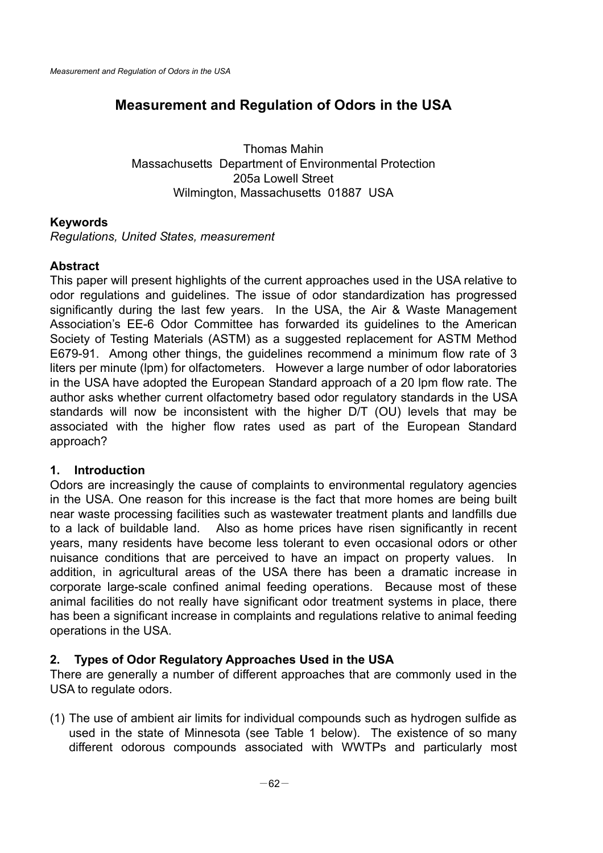# **Measurement and Regulation of Odors in the USA**

Thomas Mahin Massachusetts Department of Environmental Protection 205a Lowell Street Wilmington, Massachusetts 01887 USA

### **Keywords**

*Regulations, United States, measurement* 

### **Abstract**

This paper will present highlights of the current approaches used in the USA relative to odor regulations and guidelines. The issue of odor standardization has progressed significantly during the last few years. In the USA, the Air & Waste Management Association's EE-6 Odor Committee has forwarded its guidelines to the American Society of Testing Materials (ASTM) as a suggested replacement for ASTM Method E679-91. Among other things, the guidelines recommend a minimum flow rate of 3 liters per minute (lpm) for olfactometers. However a large number of odor laboratories in the USA have adopted the European Standard approach of a 20 lpm flow rate. The author asks whether current olfactometry based odor regulatory standards in the USA standards will now be inconsistent with the higher D/T (OU) levels that may be associated with the higher flow rates used as part of the European Standard approach?

#### **1. Introduction**

Odors are increasingly the cause of complaints to environmental regulatory agencies in the USA. One reason for this increase is the fact that more homes are being built near waste processing facilities such as wastewater treatment plants and landfills due to a lack of buildable land. Also as home prices have risen significantly in recent years, many residents have become less tolerant to even occasional odors or other nuisance conditions that are perceived to have an impact on property values. In addition, in agricultural areas of the USA there has been a dramatic increase in corporate large-scale confined animal feeding operations. Because most of these animal facilities do not really have significant odor treatment systems in place, there has been a significant increase in complaints and regulations relative to animal feeding operations in the USA.

### **2. Types of Odor Regulatory Approaches Used in the USA**

There are generally a number of different approaches that are commonly used in the USA to regulate odors.

(1) The use of ambient air limits for individual compounds such as hydrogen sulfide as used in the state of Minnesota (see Table 1 below). The existence of so many different odorous compounds associated with WWTPs and particularly most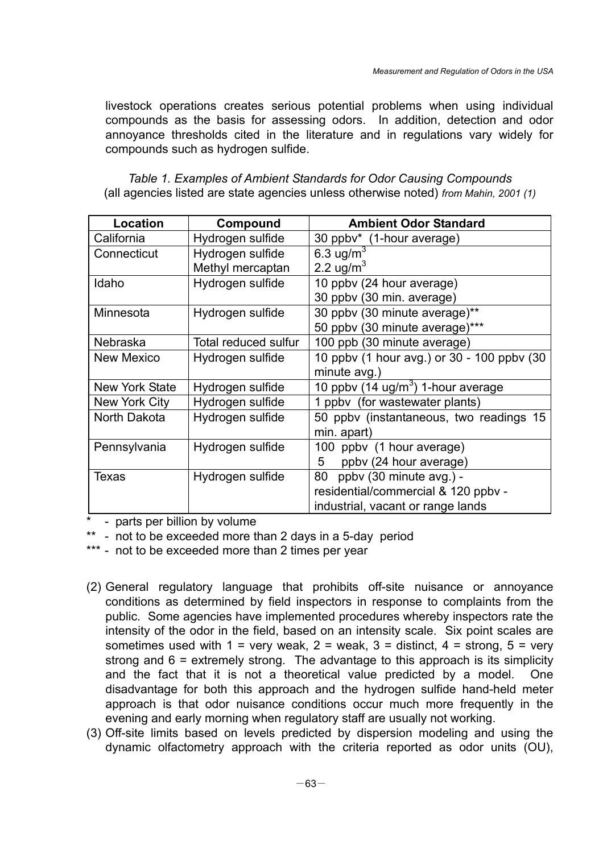livestock operations creates serious potential problems when using individual compounds as the basis for assessing odors. In addition, detection and odor annoyance thresholds cited in the literature and in regulations vary widely for compounds such as hydrogen sulfide.

| Location          | Compound             | <b>Ambient Odor Standard</b>               |  |
|-------------------|----------------------|--------------------------------------------|--|
| California        | Hydrogen sulfide     | 30 ppbv* (1-hour average)                  |  |
| Connecticut       | Hydrogen sulfide     | 6.3 ug/m <sup>3</sup>                      |  |
|                   | Methyl mercaptan     | 2.2 ug/m <sup>3</sup>                      |  |
| Idaho             | Hydrogen sulfide     | 10 ppby (24 hour average)                  |  |
|                   |                      | 30 ppbv (30 min. average)                  |  |
| Minnesota         | Hydrogen sulfide     | 30 ppbv (30 minute average)**              |  |
|                   |                      | 50 ppbv (30 minute average)***             |  |
| Nebraska          | Total reduced sulfur | 100 ppb (30 minute average)                |  |
| <b>New Mexico</b> | Hydrogen sulfide     | 10 ppbv (1 hour avg.) or 30 - 100 ppbv (30 |  |
|                   |                      | minute avg.)                               |  |
| New York State    | Hydrogen sulfide     | 10 ppbv (14 ug/ $m3$ ) 1-hour average      |  |
| New York City     | Hydrogen sulfide     | 1 ppby (for wastewater plants)             |  |
| North Dakota      | Hydrogen sulfide     | 50 ppby (instantaneous, two readings 15    |  |
|                   |                      | min. apart)                                |  |
| Pennsylvania      | Hydrogen sulfide     | 100 ppby (1 hour average)                  |  |
|                   |                      | ppbv (24 hour average)<br>5                |  |
| Texas             | Hydrogen sulfide     | ppby (30 minute avg.) -<br>80              |  |
|                   |                      | residential/commercial & 120 ppbv -        |  |
|                   |                      | industrial, vacant or range lands          |  |

*Table 1. Examples of Ambient Standards for Odor Causing Compounds*  (all agencies listed are state agencies unless otherwise noted) *from Mahin, 2001 (1)* 

\* - parts per billion by volume

\*\* - not to be exceeded more than 2 days in a 5-day period

\*\*\* - not to be exceeded more than 2 times per year

- (2) General regulatory language that prohibits off-site nuisance or annoyance conditions as determined by field inspectors in response to complaints from the public. Some agencies have implemented procedures whereby inspectors rate the intensity of the odor in the field, based on an intensity scale. Six point scales are sometimes used with  $1 = \text{very weak}, 2 = \text{weak}, 3 = \text{distinct}, 4 = \text{strong}, 5 = \text{very}$ strong and 6 = extremely strong. The advantage to this approach is its simplicity and the fact that it is not a theoretical value predicted by a model. One disadvantage for both this approach and the hydrogen sulfide hand-held meter approach is that odor nuisance conditions occur much more frequently in the evening and early morning when regulatory staff are usually not working.
- (3) Off-site limits based on levels predicted by dispersion modeling and using the dynamic olfactometry approach with the criteria reported as odor units (OU),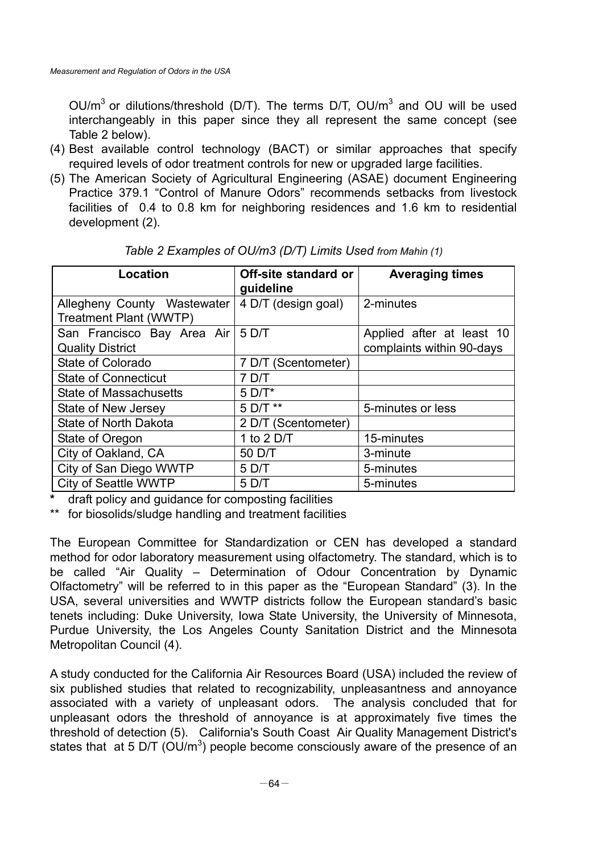OU/m<sup>3</sup> or dilutions/threshold (D/T). The terms D/T, OU/m<sup>3</sup> and OU will be used interchangeably in this paper since they all represent the same concept (see Table 2 below).

- (4) Best available control technology (BACT) or similar approaches that specify required levels of odor treatment controls for new or upgraded large facilities.
- (5) The American Society of Agricultural Engineering (ASAE) document Engineering Practice 379.1 "Control of Manure Odors" recommends setbacks from livestock facilities of 0.4 to 0.8 km for neighboring residences and 1.6 km to residential development (2).

| Location                                              | Off-site standard or<br>guideline | <b>Averaging times</b>                                 |
|-------------------------------------------------------|-----------------------------------|--------------------------------------------------------|
| Allegheny County Wastewater<br>Treatment Plant (WWTP) | 4 D/T (design goal)               | 2-minutes                                              |
| San Francisco Bay Area Air<br><b>Quality District</b> | 5 D/T                             | Applied after at least 10<br>complaints within 90-days |
| State of Colorado                                     | 7 D/T (Scentometer)               |                                                        |
| <b>State of Connecticut</b>                           | 7 D/T                             |                                                        |
| <b>State of Massachusetts</b>                         | $5$ D/T*                          |                                                        |
| State of New Jersey                                   | 5 D/T **                          | 5-minutes or less                                      |
| State of North Dakota                                 | 2 D/T (Scentometer)               |                                                        |
| State of Oregon                                       | 1 to $2$ D/T                      | 15-minutes                                             |
| City of Oakland, CA                                   | 50 D/T                            | 3-minute                                               |
| City of San Diego WWTP                                | 5 D/T                             | 5-minutes                                              |
| <b>City of Seattle WWTP</b>                           | 5 D/T                             | 5-minutes                                              |

*Table 2 Examples of OU/m3 (D/T) Limits Used from Mahin (1)*

**\*** draft policy and guidance for composting facilities

\*\* for biosolids/sludge handling and treatment facilities

The European Committee for Standardization or CEN has developed a standard method for odor laboratory measurement using olfactometry. The standard, which is to be called "Air Quality – Determination of Odour Concentration by Dynamic Olfactometry" will be referred to in this paper as the "European Standard" (3). In the USA, several universities and WWTP districts follow the European standard's basic tenets including: Duke University, Iowa State University, the University of Minnesota, Purdue University, the Los Angeles County Sanitation District and the Minnesota Metropolitan Council (4).

A study conducted for the California Air Resources Board (USA) included the review of six published studies that related to recognizability, unpleasantness and annoyance associated with a variety of unpleasant odors. The analysis concluded that for unpleasant odors the threshold of annoyance is at approximately five times the threshold of detection (5). California's South Coast Air Quality Management District's states that at 5 D/T (OU/m<sup>3</sup>) people become consciously aware of the presence of an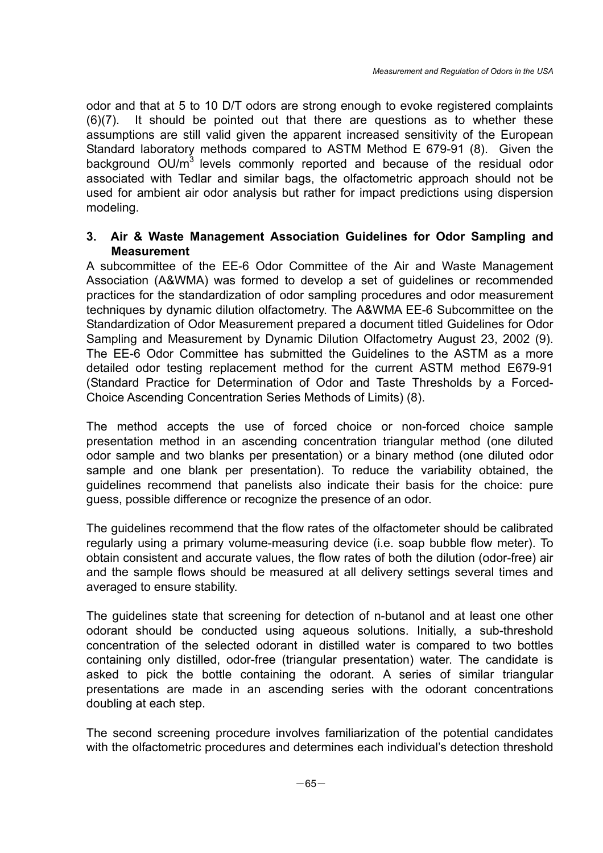odor and that at 5 to 10 D/T odors are strong enough to evoke registered complaints (6)(7). It should be pointed out that there are questions as to whether these assumptions are still valid given the apparent increased sensitivity of the European Standard laboratory methods compared to ASTM Method E 679-91 (8). Given the background  $OU/m<sup>3</sup>$  levels commonly reported and because of the residual odor associated with Tedlar and similar bags, the olfactometric approach should not be used for ambient air odor analysis but rather for impact predictions using dispersion modeling.

# **3. Air & Waste Management Association Guidelines for Odor Sampling and Measurement**

A subcommittee of the EE-6 Odor Committee of the Air and Waste Management Association (A&WMA) was formed to develop a set of guidelines or recommended practices for the standardization of odor sampling procedures and odor measurement techniques by dynamic dilution olfactometry. The A&WMA EE-6 Subcommittee on the Standardization of Odor Measurement prepared a document titled Guidelines for Odor Sampling and Measurement by Dynamic Dilution Olfactometry August 23, 2002 (9). The EE-6 Odor Committee has submitted the Guidelines to the ASTM as a more detailed odor testing replacement method for the current ASTM method E679-91 (Standard Practice for Determination of Odor and Taste Thresholds by a Forced-Choice Ascending Concentration Series Methods of Limits) (8).

The method accepts the use of forced choice or non-forced choice sample presentation method in an ascending concentration triangular method (one diluted odor sample and two blanks per presentation) or a binary method (one diluted odor sample and one blank per presentation). To reduce the variability obtained, the guidelines recommend that panelists also indicate their basis for the choice: pure guess, possible difference or recognize the presence of an odor.

The guidelines recommend that the flow rates of the olfactometer should be calibrated regularly using a primary volume-measuring device (i.e. soap bubble flow meter). To obtain consistent and accurate values, the flow rates of both the dilution (odor-free) air and the sample flows should be measured at all delivery settings several times and averaged to ensure stability.

The guidelines state that screening for detection of n-butanol and at least one other odorant should be conducted using aqueous solutions. Initially, a sub-threshold concentration of the selected odorant in distilled water is compared to two bottles containing only distilled, odor-free (triangular presentation) water. The candidate is asked to pick the bottle containing the odorant. A series of similar triangular presentations are made in an ascending series with the odorant concentrations doubling at each step.

The second screening procedure involves familiarization of the potential candidates with the olfactometric procedures and determines each individual's detection threshold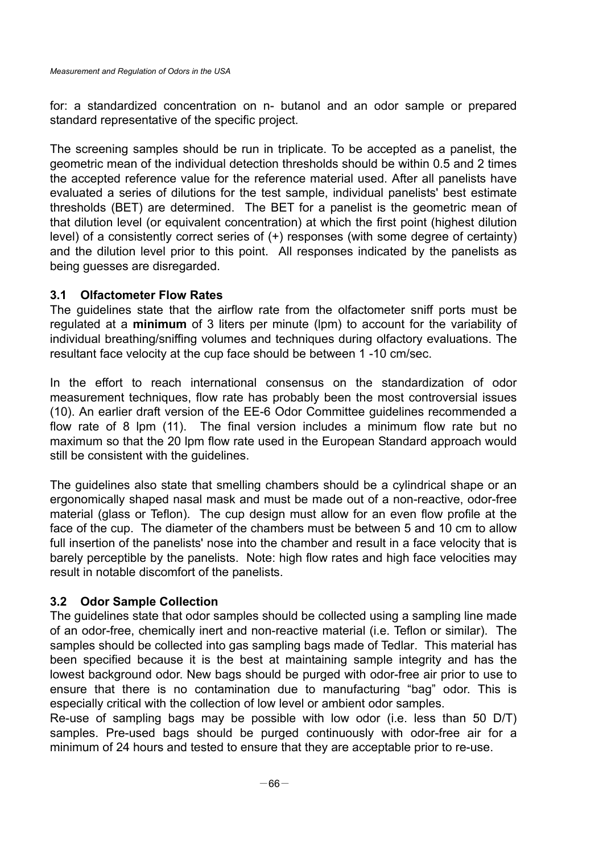for: a standardized concentration on n- butanol and an odor sample or prepared standard representative of the specific project.

The screening samples should be run in triplicate. To be accepted as a panelist, the geometric mean of the individual detection thresholds should be within 0.5 and 2 times the accepted reference value for the reference material used. After all panelists have evaluated a series of dilutions for the test sample, individual panelists' best estimate thresholds (BET) are determined. The BET for a panelist is the geometric mean of that dilution level (or equivalent concentration) at which the first point (highest dilution level) of a consistently correct series of (+) responses (with some degree of certainty) and the dilution level prior to this point. All responses indicated by the panelists as being guesses are disregarded.

# **3.1 Olfactometer Flow Rates**

The guidelines state that the airflow rate from the olfactometer sniff ports must be regulated at a **minimum** of 3 liters per minute (lpm) to account for the variability of individual breathing/sniffing volumes and techniques during olfactory evaluations. The resultant face velocity at the cup face should be between 1 -10 cm/sec.

In the effort to reach international consensus on the standardization of odor measurement techniques, flow rate has probably been the most controversial issues (10). An earlier draft version of the EE-6 Odor Committee guidelines recommended a flow rate of 8 lpm (11). The final version includes a minimum flow rate but no maximum so that the 20 lpm flow rate used in the European Standard approach would still be consistent with the guidelines.

The guidelines also state that smelling chambers should be a cylindrical shape or an ergonomically shaped nasal mask and must be made out of a non-reactive, odor-free material (glass or Teflon). The cup design must allow for an even flow profile at the face of the cup. The diameter of the chambers must be between 5 and 10 cm to allow full insertion of the panelists' nose into the chamber and result in a face velocity that is barely perceptible by the panelists. Note: high flow rates and high face velocities may result in notable discomfort of the panelists.

# **3.2 Odor Sample Collection**

The guidelines state that odor samples should be collected using a sampling line made of an odor-free, chemically inert and non-reactive material (i.e. Teflon or similar). The samples should be collected into gas sampling bags made of Tedlar. This material has been specified because it is the best at maintaining sample integrity and has the lowest background odor. New bags should be purged with odor-free air prior to use to ensure that there is no contamination due to manufacturing "bag" odor. This is especially critical with the collection of low level or ambient odor samples.

Re-use of sampling bags may be possible with low odor (i.e. less than 50 D/T) samples. Pre-used bags should be purged continuously with odor-free air for a minimum of 24 hours and tested to ensure that they are acceptable prior to re-use.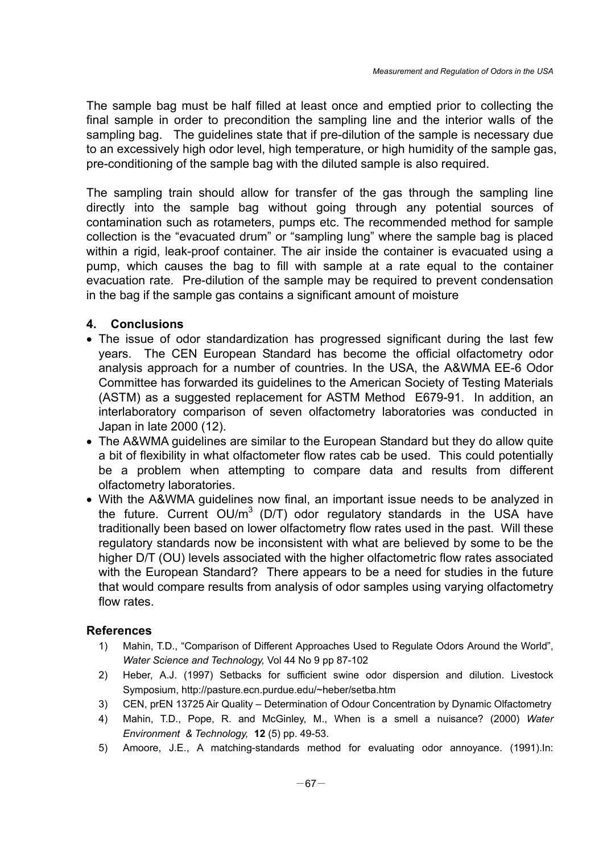The sample bag must be half filled at least once and emptied prior to collecting the final sample in order to precondition the sampling line and the interior walls of the sampling bag. The guidelines state that if pre-dilution of the sample is necessary due to an excessively high odor level, high temperature, or high humidity of the sample gas, pre-conditioning of the sample bag with the diluted sample is also required.

The sampling train should allow for transfer of the gas through the sampling line directly into the sample bag without going through any potential sources of contamination such as rotameters, pumps etc. The recommended method for sample collection is the "evacuated drum" or "sampling lung" where the sample bag is placed within a rigid, leak-proof container. The air inside the container is evacuated using a pump, which causes the bag to fill with sample at a rate equal to the container evacuation rate. Pre-dilution of the sample may be required to prevent condensation in the bag if the sample gas contains a significant amount of moisture

# **4. Conclusions**

- The issue of odor standardization has progressed significant during the last few years. The CEN European Standard has become the official olfactometry odor analysis approach for a number of countries. In the USA, the A&WMA EE-6 Odor Committee has forwarded its guidelines to the American Society of Testing Materials (ASTM) as a suggested replacement for ASTM Method E679-91. In addition, an interlaboratory comparison of seven olfactometry laboratories was conducted in Japan in late 2000 (12).
- The A&WMA guidelines are similar to the European Standard but they do allow quite a bit of flexibility in what olfactometer flow rates cab be used. This could potentially be a problem when attempting to compare data and results from different olfactometry laboratories.
- With the A&WMA guidelines now final, an important issue needs to be analyzed in the future. Current OU/ $m<sup>3</sup>$  (D/T) odor regulatory standards in the USA have traditionally been based on lower olfactometry flow rates used in the past. Will these regulatory standards now be inconsistent with what are believed by some to be the higher D/T (OU) levels associated with the higher olfactometric flow rates associated with the European Standard? There appears to be a need for studies in the future that would compare results from analysis of odor samples using varying olfactometry flow rates.

### **References**

- 1) Mahin, T.D., "Comparison of Different Approaches Used to Regulate Odors Around the World", *Water Science and Technology,* Vol 44 No 9 pp 87-102
- 2) Heber, A.J. (1997) Setbacks for sufficient swine odor dispersion and dilution. Livestock Symposium, http://pasture.ecn.purdue.edu/~heber/setba.htm
- 3) CEN, prEN 13725 Air Quality Determination of Odour Concentration by Dynamic Olfactometry
- 4) Mahin, T.D., Pope, R. and McGinley, M., When is a smell a nuisance? (2000) *Water Environment & Technology,* **12** (5) pp. 49-53.
- 5) Amoore, J.E., A matching-standards method for evaluating odor annoyance. (1991).In: